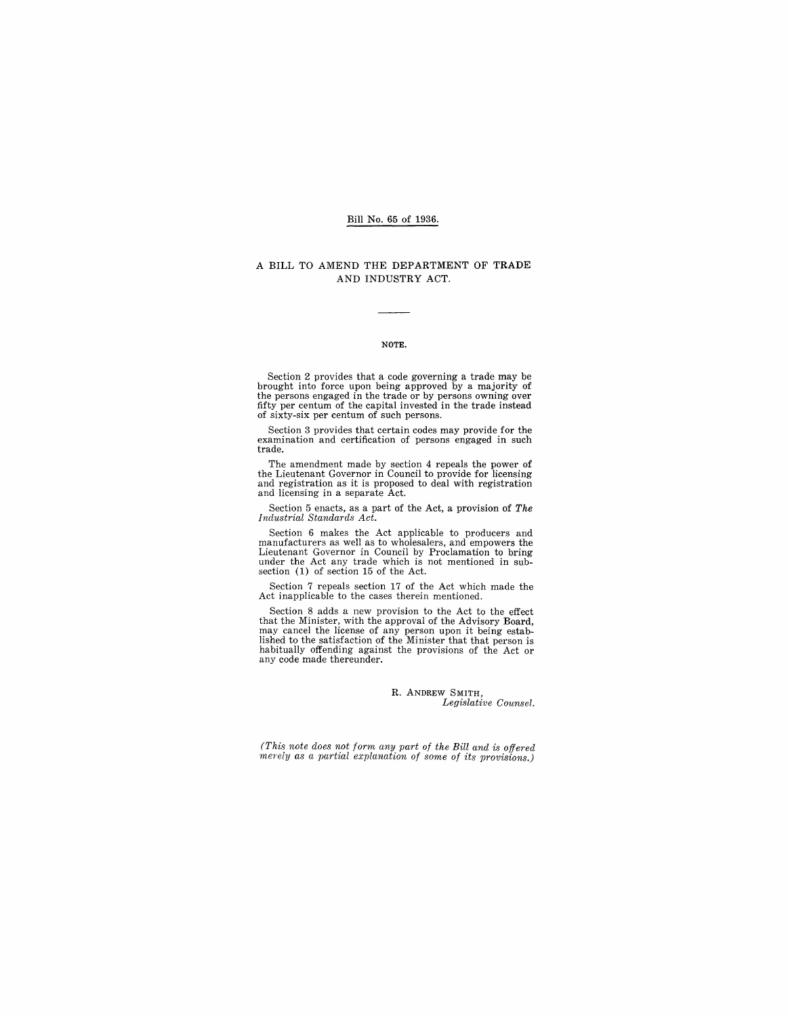### Bill No. 65 of 1936.

#### A BILL TO AMEND THE DEPARTMENT OF TRADE AND INDUSTRY ACT.

#### NOTE.

Section 2 provides that a code governing a trade may be brought into force upon being approved by a majority of the persons engaged in the trade or by persons owning over fifty per centum of the capital invested in the trade instead of sixty-six per centum of such persons.

Section 3 provides that certain codes may provide for the examination and certification of persons engaged in such trade.

The amendment made by section 4 repeals the power of the Lieutenant Governor in Council to provide for licensing and registration as it is proposed to deal with registration and licensing in a separate Act.

Section 5 enacts, as a part of the Act, a provision of *The Industrial Standards Act.* 

Section 6 makes the Act applicable to producers and manufacturers as well as to wholesalers, and empowers the Lieutenant Governor in Council by Proclamation to bring under the Act any trade which is not mentioned in subsection (1) of section 15 of the Act.

Section 7 repeals section 17 of the Act which made the Act inapplicable to the cases therein mentioned.

Section 8 adds a new provision to the Act to the effect<br>that the Minister, with the approval of the Advisory Board,<br>may cancel the license of any person upon it being estab-<br>lished to the satisfaction of the Minister that habitually offending against the provisions of the Act or any code made thereunder.

#### R. ANDREW SMITH, *Legislative Counsel.*

*(This note does not form any part of the Bill and* is *offered merely as a partial explanation of some of its provisions.)*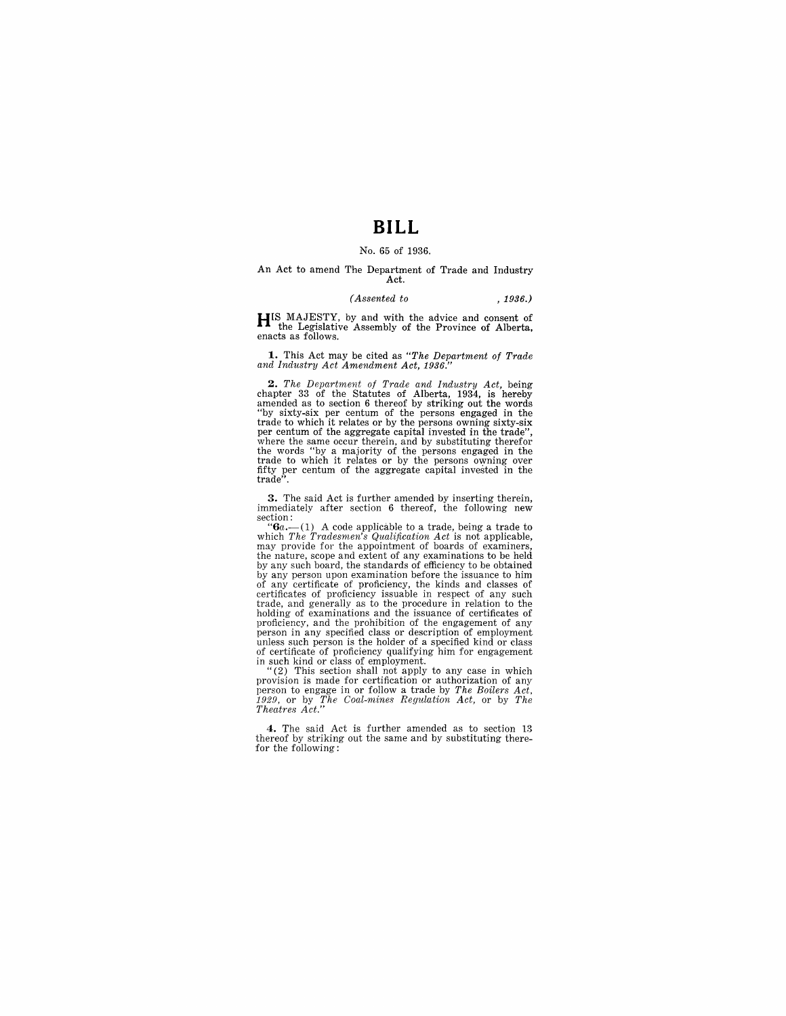# **BILL**

#### No. 65 of 1936.

#### An Act to amend The Department of Trade and Industry Act.

#### *(Assented to* , 1936.)

HIS MAJESTY, by and with the advice and consent of the Legislative Assembly of the Province of Alberta, enacts as follows.

1. This Act may be cited as *"The Department of Trade*  and Industry Act Amendment Act, 1936.

**2.** The Department of Trade and Industry Act, being chapter 33 of the Statutes of Alberta, 1934, is hereby amended as to section 6 thereof by striking out the words "by sixty-six per centum of the persons engaged in the trade to which it relates or by the persons owning over fifty per centum of the aggregate capital invested in the trade".

3. The said Act is further amended by inserting therein, immediately after section 6 thereof, the following new section:<br>" $\mathbf{G}a \cdot (-1)$  A code applicable to a trade, being a trade to

*"6a.-*(1) A code applicable to a trade, being a trade to which *The Tradesmen's Qualification Act* is not applicable, may provide for the appointment of boards of examiners, the nature, scope and extent of any examinations to be held by any such board, the standards of efficiency to be obtained by any person upon examination before the issuance to him of any certificate of proficiency, the kinds and classes of certificates of proficiency issuable in respect of any such trade, and generally as to the procedure in relation to the holding of examinations and the issuance of certificates of proficiency, and the prohibition of the engagement of any<br>person in any specified class or description of employment<br>unless such person is the holder of a specified kind or class<br>of certificate of proficiency qualifying hi

provision is made for certification or authorization of any person to engage in or follow a trade by *The Boilers Act,*  1929, or by *The Coal-mines Regulation Act,* or by *The Theatres Act."* 

4. The said Act is further amended as to section 13 thereof by striking out the same and by substituting therefor the following: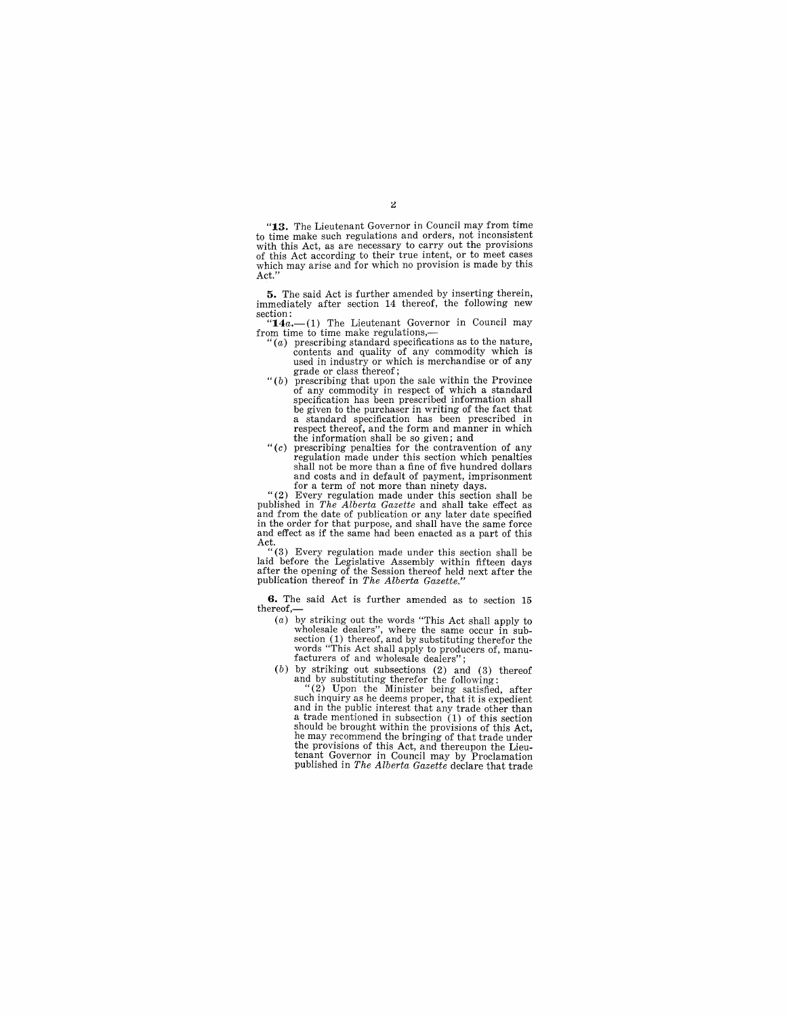**"13.** The Lieutenant Governor in Council may from time to time make such regulations and orders, not inconsistent w the this Act, as are necessary to carry out the provisions with this Act, as are necessary to carry out the provisions of this Act according to their true intent, or to meet cases which may arise and for which no provision is made by this Act.'

**5.** The said Act is further amended by inserting therein, immediately after section 14 thereof, the following new section:<br>
"14a.—(1) The Lieutenant Governor in Council may

from time to time make regulations,-

- $(a)$  prescribing standard specifications as to the nature, contents and quality of any commodity which is used in industry or which is merchandise or of any grade or class thereof;
- $"$  (b) prescribing that upon the sale within the Province of any commodity in respect of which a standard specification has been prescribed information shall be given to the purchaser in writing of the fact that a standard specification has been prescribed in respect thereof, and the form and manner in which the information shall be so given; and
- *"(c)* prescribing penalties for the contravention of any regulation made under this section which penalties shall not be more than a fine of five hundred dollars and costs and in default of payment, imprisonment for a term of not more than ninety days.

"(2) Every regulation made under this section shall be published in *The Alberta Gazette* and shall take effect as and from the date of publication or any later date specified in the order for that purpose, and shall have the same force and effect as if the same had been enacted as a part of this

Act. "(3) Every regulation made under this section shall be laid before the Legislative Assembly within fifteen days after the opening of the Session thereof held next after the pUblication thereof in *The Alberta Gazette."* 

**6.** The said Act is further amended as to section 15 thereof,-

- (a) by striking out the words "This Act shall apply to wholesale dealers", where the same occur in subsection  $(1)$  thereof, and by substituting therefor the words "This Act shall apply to producers of, manufacturers of a
- (b) by striking out subsections (2) and (3) thereof and by substituting therefor the following: "(2) Upon the Minister being satisfied, after

such inquiry as he deems proper, that it is expedient and in the public interest that any trade other than a trade mentioned in subsection (1) of this section should be brought within the provisions of this Act, he may recommend the bringing of that trade under the provisions of this Act, and thereupon the Lieutenant Governor in Council may by Proclamation published in *The Alberta Gazette* declare that trade

 $\overline{2}$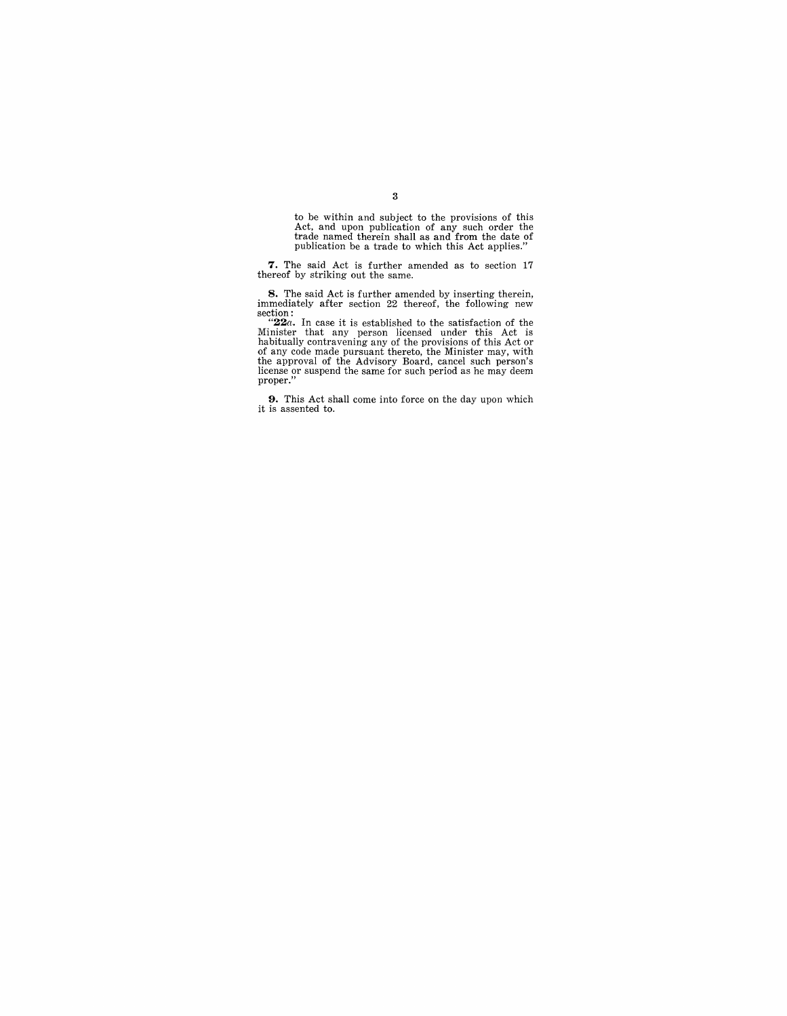to be within and subject to the provisions of this Act, and upon publication of any such order the trade named therein shall as and from the date of publication be a trade to which this Act applies."

7. The said Act is further amended as to section 17 thereof by striking out the same.

**8.** The said Act is further amended by inserting therein, immediately after section 22 thereof, the following new section:<br>" $22a$ . In case it is established to the satisfaction of the  $22a$ . In case it is established to the approval of the Advisory Board, cancel such person's license or suspend the same for such period as he may deem proper."

**9.** This Act shall come into force on the day upon which it is assented to.